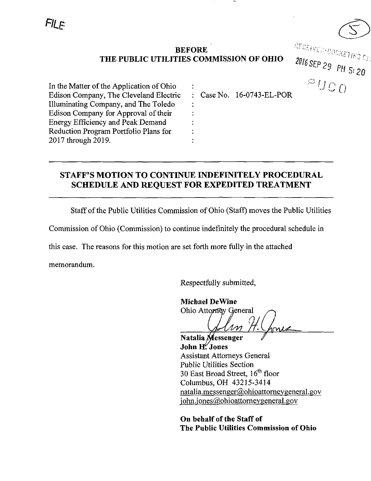

 $^{2016}$  SEP 29 PH 5:20

 $PUCO$ 

### BEFORE THE PUBLIC UTILITIES COMMISSION OF OHIO

In the Matter of the Application of Ohio Edison Company, The Cleveland Electric Illuminating Company, and The Toledo Edison Company for Approval of their Energy Efficiency and Peak Demand Reduction Program Portfolio Plans for 2017 through 2019.

Case No. 16-0743-EL-POR

## STAFF'S MOTION TO CONTINUE INDEFINITELY PROCEDURAL SCHEDULE AND REQUEST FOR EXPEDITED TREATMENT

Staff of the Public Utilities Commission of Ohio (Staff) moves the Public Utilities

Commission of Ohio (Commission) to continue indefinitely the procedural schedule in

this case. The reasons for this motion are set forth more fully in the attached

memorandum.

Respectfully submitted,

Michael DeWine Ohio Attorney General

Natalia Messenger John H; Jones Assistant Attorneys General Public Utilities Section 30 East Broad Street,  $16^{\text{th}}$  floor Columbus, OH 43215-3414 natalia.messenger@ohioattorneygeneral.gov iohn.jones@ohioattorneygeneral.gov

On behalf of the Staff of The Public Utilities Commission of Ohio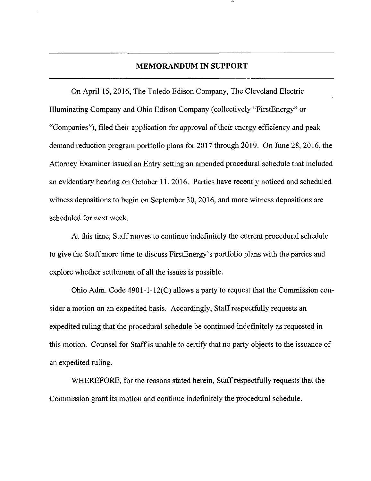#### MEMORANDUM IN SUPPORT

On April 15, 2016, The Toledo Edison Company, The Cleveland Electric Illuminating Company and Ohio Edison Company (collectively "FirstEnergy" or "Companies"), filed their application for approval of their energy efficiency and peak demand reduction program portfolio plans for 2017 through 2019. On June 28, 2016, the Attorney Examiner issued an Entry setting an amended procedural schedule that included an evidentiary hearing on October 11, 2016. Parties have recently noticed and scheduled witness depositions to begin on September 30, 2016, and more witness depositions are scheduled for next week.

At this time, Staff moves to continue indefmitely the current procedural schedule to give the Staff more time to discuss FirstEnergy's portfolio plans with the parties and explore whether settlement of all the issues is possible.

Ohio Adm. Code 4901-1-12(C) allows a party to request that the Commission consider a motion on an expedited basis. Accordingly, Staff respectfully requests an expedited ruling that the procedural schedule be continued indefmitely as requested in this motion. Counsel for Staff is unable to certify that no party objects to the issuance of an expedited ruling.

WHEREFORE, for the reasons stated herein. Staff respectfully requests that the Commission grant its motion and continue indefmitely the procedural schedule.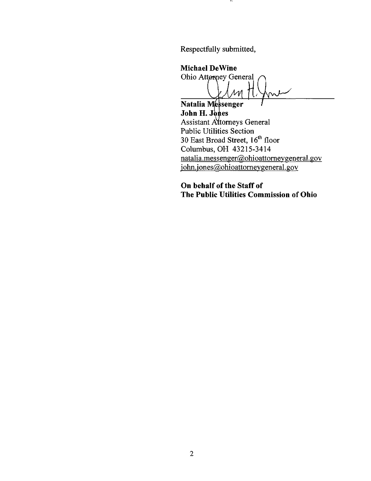Respectfully submitted.

. .

Michael DeWine

Ohio Attørney General

Natalia Messenger John H. Jones Assistant Attorneys General Public Utilities Section 30 East Broad Street, 16<sup>th</sup> floor Columbus, OH 43215-3414  $natalia.messenger@ohioattorneygeneral.gov$ john.jones@ohioattorneygeneral.gov

On behalf of the Staff of The Public Utilities Commission of Ohio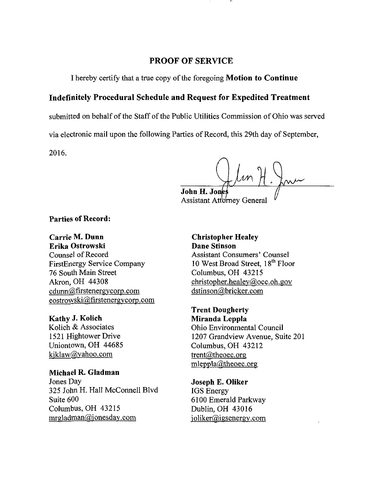#### PROOF OF SERVICE

I hereby certify that a true copy of the foregoing Motion to Continue

#### Indefinitely Procedural Schedule and Request for Expedited Treatment

submitted on behalf of the Staff of the Public Utilities Commission of Ohio was served

via electronic mail upon the following Parties of Record, this 29th day of September,

2016.

John H. Jones Assistant Attorney General

Parties of Record:

Carrie M. Dunn Erika Ostrowski Counsel of Record FirstEnergy Service Company 76 South Main Street Akron, OH 44308  $cdunn@firstenergycorp.com$ eostrowski@firstenergycorp.com

Kathy J. Kolich Kolich & Associates 1521 Hightower Drive Uniontown, OH 44685 [kiklaw@vahoo.com](mailto:kiklaw@vahoo.com) 

Michael R. Gladman Jones Day 325 John H. Hall McConnell Blvd Suite 600 Columbus, OH 43215 n^[gladman@jonesdaY.com](mailto:gladman@jonesdaY.com) 

Christopher Healey Dane Stinson Assistant Consumers' Counsel 10 West Broad Street, 18<sup>th</sup> Floor Columbus, OH 43215 [christopher.healev@occ.oh.gov](mailto:christopher.healev@occ.oh.gov)  [dstinson@bricker.com](mailto:dstinson@bricker.com) 

Trent Dougherty Miranda Leppla Ohio Environmental Council 1207 Grandview Avenue, Suite 201 Columbus, OH 43212 [trent@theoec.org](mailto:trent@theoec.org)  mleppla@theoec.org

Joseph E. Oliker IGS Energy 6100 Emerald Parkway Dublin, OH 43016 joliker@igsenergy.com